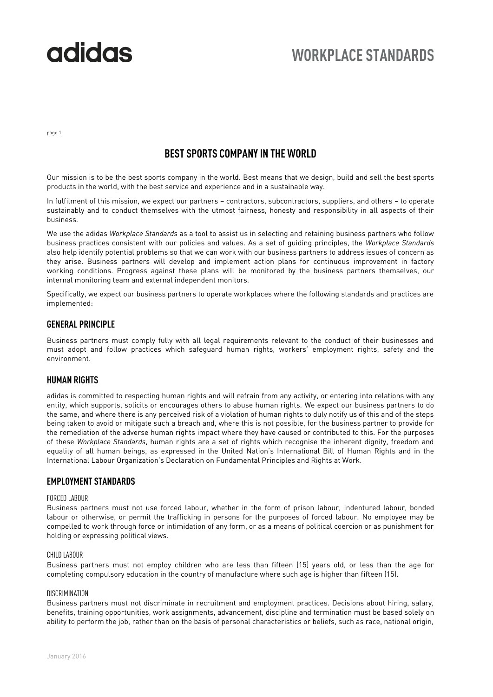

# **WORKPLACE STANDARDS**

page 1

# **BEST SPORTS COMPANY IN THE WORLD**

Our mission is to be the best sports company in the world. Best means that we design, build and sell the best sports products in the world, with the best service and experience and in a sustainable way.

In fulfilment of this mission, we expect our partners – contractors, subcontractors, suppliers, and others – to operate sustainably and to conduct themselves with the utmost fairness, honesty and responsibility in all aspects of their business.

We use the adidas *Workplace Standards* as a tool to assist us in selecting and retaining business partners who follow business practices consistent with our policies and values. As a set of guiding principles, the *Workplace Standards* also help identify potential problems so that we can work with our business partners to address issues of concern as they arise. Business partners will develop and implement action plans for continuous improvement in factory working conditions. Progress against these plans will be monitored by the business partners themselves, our internal monitoring team and external independent monitors.

Specifically, we expect our business partners to operate workplaces where the following standards and practices are implemented:

# **GENERAL PRINCIPLE**

Business partners must comply fully with all legal requirements relevant to the conduct of their businesses and must adopt and follow practices which safeguard human rights, workers' employment rights, safety and the environment.

### **HUMAN RIGHTS**

adidas is committed to respecting human rights and will refrain from any activity, or entering into relations with any entity, which supports, solicits or encourages others to abuse human rights. We expect our business partners to do the same, and where there is any perceived risk of a violation of human rights to duly notify us of this and of the steps being taken to avoid or mitigate such a breach and, where this is not possible, for the business partner to provide for the remediation of the adverse human rights impact where they have caused or contributed to this. For the purposes of these *Workplace Standards*, human rights are a set of rights which recognise the inherent dignity, freedom and equality of all human beings, as expressed in the United Nation's International Bill of Human Rights and in the International Labour Organization's Declaration on Fundamental Principles and Rights at Work.

### **EMPLOYMENT STANDARDS**

### FORCED LABOUR

Business partners must not use forced labour, whether in the form of prison labour, indentured labour, bonded labour or otherwise, or permit the trafficking in persons for the purposes of forced labour. No employee may be compelled to work through force or intimidation of any form, or as a means of political coercion or as punishment for holding or expressing political views.

### CHILD LABOUR

Business partners must not employ children who are less than fifteen (15) years old, or less than the age for completing compulsory education in the country of manufacture where such age is higher than fifteen (15).

### DISCRIMINATION

Business partners must not discriminate in recruitment and employment practices. Decisions about hiring, salary, benefits, training opportunities, work assignments, advancement, discipline and termination must be based solely on ability to perform the job, rather than on the basis of personal characteristics or beliefs, such as race, national origin,